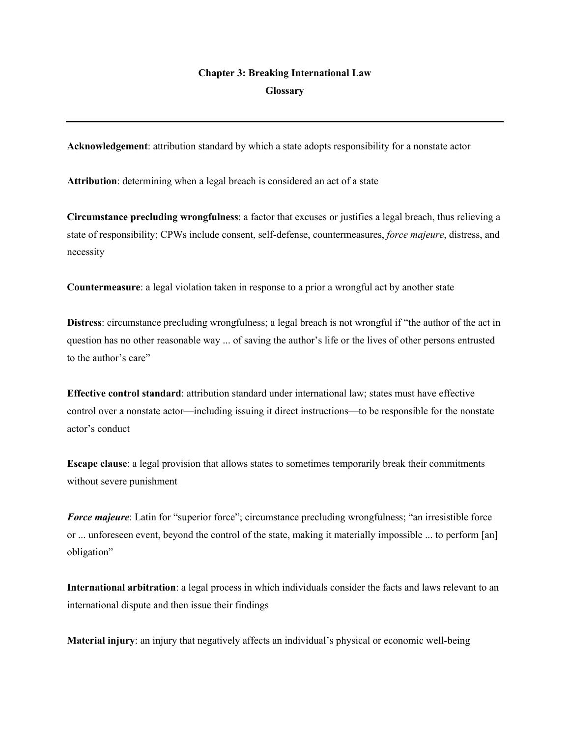## **Chapter 3: Breaking International Law Glossary**

**Acknowledgement**: attribution standard by which a state adopts responsibility for a nonstate actor

**Attribution**: determining when a legal breach is considered an act of a state

**Circumstance precluding wrongfulness**: a factor that excuses or justifies a legal breach, thus relieving a state of responsibility; CPWs include consent, self-defense, countermeasures, *force majeure*, distress, and necessity

**Countermeasure**: a legal violation taken in response to a prior a wrongful act by another state

**Distress**: circumstance precluding wrongfulness; a legal breach is not wrongful if "the author of the act in question has no other reasonable way ... of saving the author's life or the lives of other persons entrusted to the author's care"

**Effective control standard**: attribution standard under international law; states must have effective control over a nonstate actor—including issuing it direct instructions—to be responsible for the nonstate actor's conduct

**Escape clause**: a legal provision that allows states to sometimes temporarily break their commitments without severe punishment

*Force majeure*: Latin for "superior force"; circumstance precluding wrongfulness; "an irresistible force or ... unforeseen event, beyond the control of the state, making it materially impossible ... to perform [an] obligation"

**International arbitration**: a legal process in which individuals consider the facts and laws relevant to an international dispute and then issue their findings

**Material injury**: an injury that negatively affects an individual's physical or economic well-being